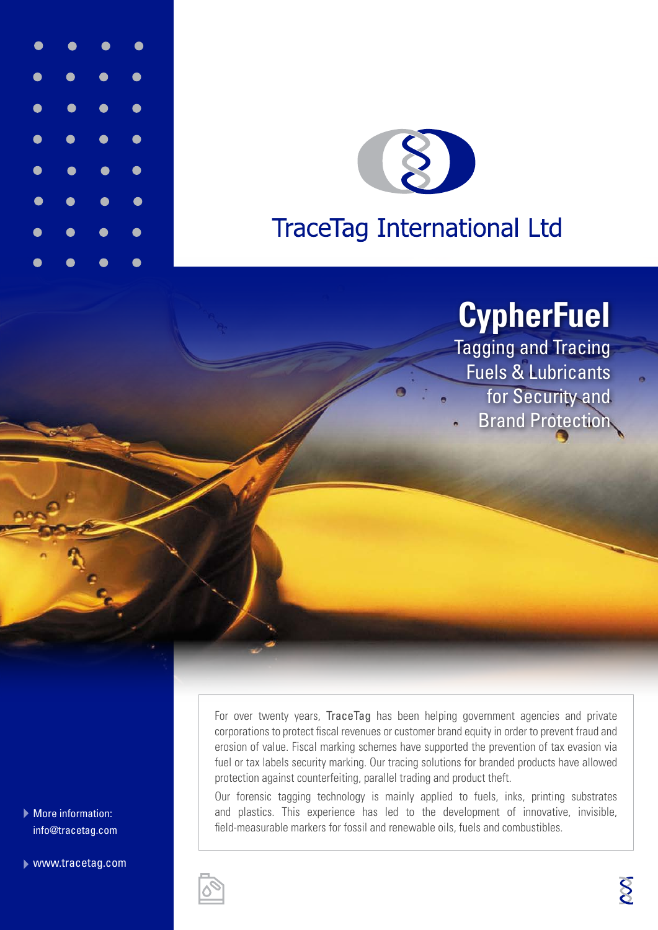



# **TraceTag International Ltd**

# **CypherFuel**

Tagging and Tracing Fuels & Lubricants for Security and Brand Protection

More information: info@tracetag.com

www.tracetag.com

For over twenty years, TraceTag has been helping government agencies and private corporations to protect fiscal revenues or customer brand equity in order to prevent fraud and erosion of value. Fiscal marking schemes have supported the prevention of tax evasion via fuel or tax labels security marking. Our tracing solutions for branded products have allowed protection against counterfeiting, parallel trading and product theft.

Our forensic tagging technology is mainly applied to fuels, inks, printing substrates and plastics. This experience has led to the development of innovative, invisible, field-measurable markers for fossil and renewable oils, fuels and combustibles.

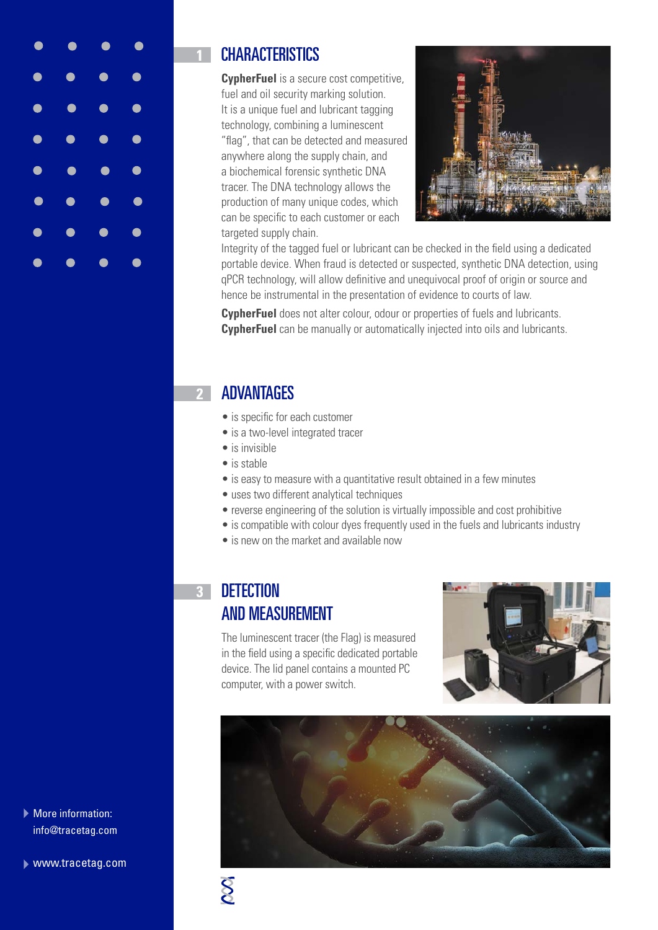

## **1** CHARACTERISTICS

**CypherFuel** is a secure cost competitive, fuel and oil security marking solution. It is a unique fuel and lubricant tagging technology, combining a luminescent "flag", that can be detected and measured anywhere along the supply chain, and a biochemical forensic synthetic DNA tracer. The DNA technology allows the production of many unique codes, which can be specific to each customer or each targeted supply chain.



Integrity of the tagged fuel or lubricant can be checked in the field using a dedicated portable device. When fraud is detected or suspected, synthetic DNA detection, using qPCR technology, will allow definitive and unequivocal proof of origin or source and hence be instrumental in the presentation of evidence to courts of law.

**CypherFuel** does not alter colour, odour or properties of fuels and lubricants. **CypherFuel** can be manually or automatically injected into oils and lubricants.

## **2** ADVANTAGES

- is specific for each customer
- is a two-level integrated tracer
- is invisible
- is stable
- is easy to measure with a quantitative result obtained in a few minutes
- uses two different analytical techniques
- reverse engineering of the solution is virtually impossible and cost prohibitive
- is compatible with colour dyes frequently used in the fuels and lubricants industry
- is new on the market and available now

## **3** DETECTION AND MEASUREMENT

The luminescent tracer (the Flag) is measured in the field using a specific dedicated portable device. The lid panel contains a mounted PC computer, with a power switch.







www.tracetag.com

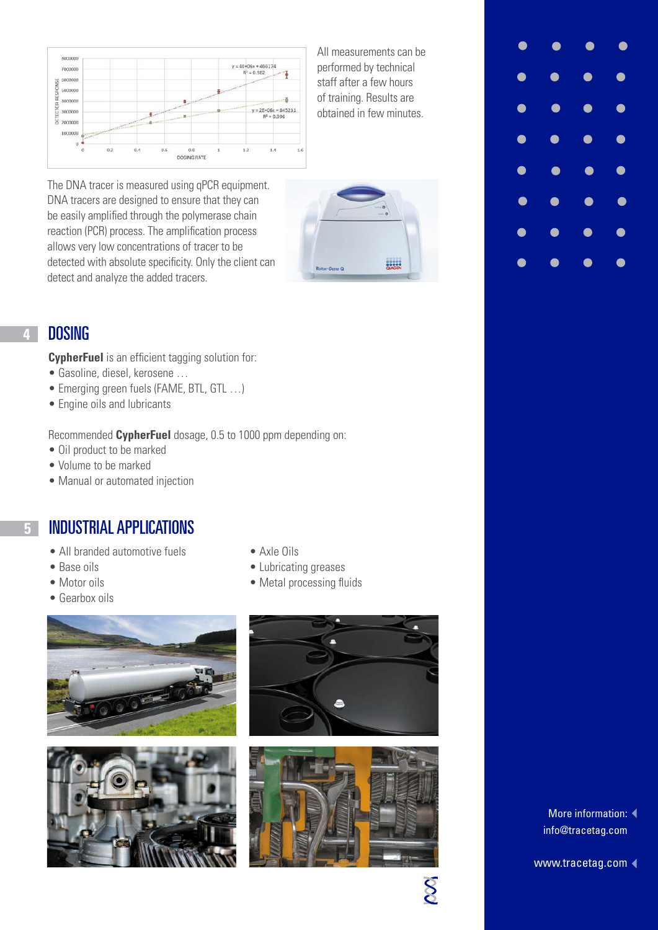

All measurements can be performed by technical staff after a few hours of training. Results are obtained in few minutes.

The DNA tracer is measured using qPCR equipment. DNA tracers are designed to ensure that they can be easily amplified through the polymerase chain reaction (PCR) process. The amplification process allows very low concentrations of tracer to be detected with absolute specificity. Only the client can detect and analyze the added tracers.



#### **4** DOSING

**CypherFuel** is an efficient tagging solution for:

- Gasoline, diesel, kerosene …
- Emerging green fuels (FAME, BTL, GTL ...)
- Engine oils and lubricants

Recommended **CypherFuel** dosage, 0.5 to 1000 ppm depending on:

- Oil product to be marked
- Volume to be marked
- Manual or automated injection

#### **5** INDUSTRIAL APPLICATIONS

- All branded automotive fuels Axle Oils
- 
- 
- Gearbox oils
- 
- Base oils Lubricating greases
- Motor oils Metal processing fluids









 $\infty$ 



More information:  $\blacktriangleleft$ info@tracetag.com

www.tracetag.com <